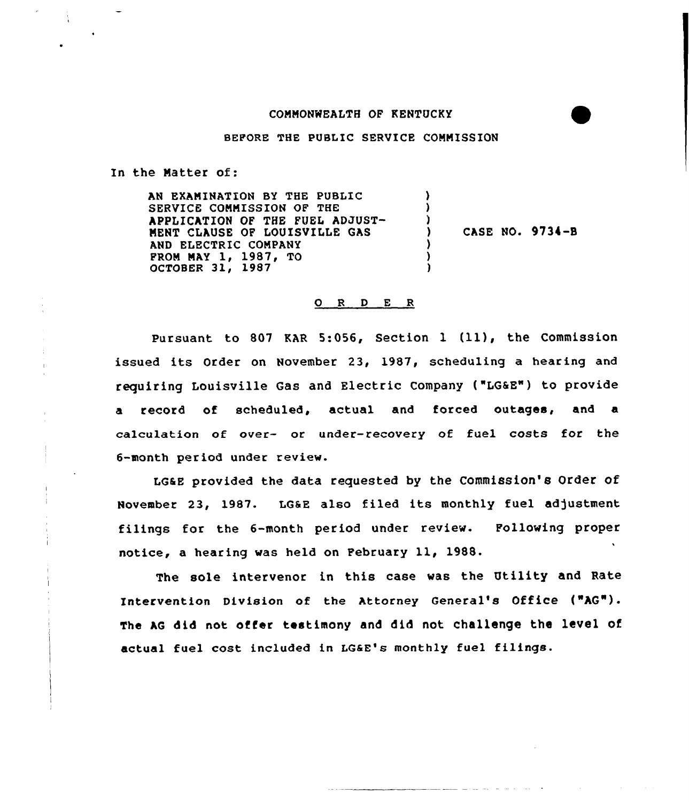## CONNONWEALTH OF KENTUCKY

BEFORE THE PUBLIC SERVICE CONNISSION

In the Natter of:

AN EXANINATION BY THE PUBLIC SERVICE CONNISSION OF THE APPLICATION OF THE FUEL ADJUST-NENT CLAUSE OF LOUISVILLE GAS AND ELECTRIC CONPANY PROM MAY 1, 1987, TO<br>OCTOBER 31, 1987 ) ) ) ) CASE NO. 9734-B ) ) )

## 0 <sup>R</sup> <sup>D</sup> E <sup>R</sup>

Pursuant to 807 KAR 5:056, Section 1 (11), the Commission issued its Order on November 23, 1987, scheduling <sup>a</sup> hearing and requiring Louisville Gas and Electric Company ("LGaE") to provide a record of scheduled, actual and forced outages, and a calculation of over- oc under-recovery of fuel costs for the 6-month period under review.

LG&E provided the data requested by the Commission's Order of November 23, 1987. LG&E also filed its monthly fuel adjustment filings for the 6-month period undec review. Following proper notice, <sup>a</sup> hearing was held on February ll, 1988.

The sole intervenor in this case was the Utility and Rate Intervention Division of the Attorney General's Office ("AG"). The AG did not offer testimony and did not challenge the level of actual fuel cost included in LGaE's monthly fuel filings.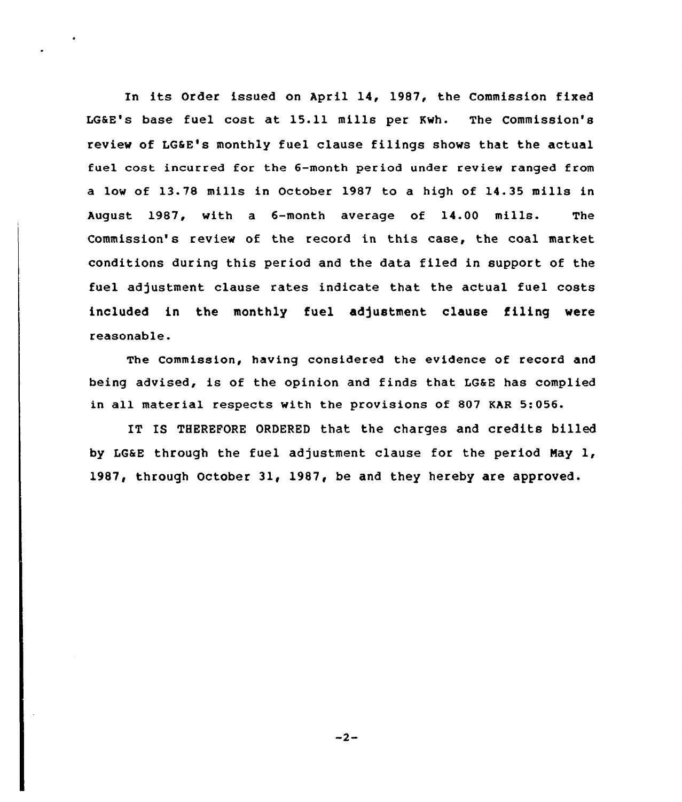In its Order issued on April 14, 1987, the Commission fixed LGSE's base fuel cost at 15.11 mills per Kwh. The Commission's review of LG&E's monthly fuel clause filings shows that the actual fuel cost incurred for the 6-month period under review ranged from a low of 13.78 mills in October 1987 to a high of 14.35 mills in August 1987, with a 6-month average of 14.00 mills. The Commission's review of the record in this case, the coal market conditions during this period and the data filed in support of the fuel adjustment clause rates indicate that the actual fuel costs included in the monthly fuel adjustment clause filing were reasonable.

The Commission, having considered the evidence of record and being advised, is of the opinion and finds that LGaE has complied in all material respects with the provisions of 807 KAR 5:056.

IT IS THEREFORE ORDERED that the charges and credits billed by LGaE through the fuel adjustment clause for the period Nay 1, 1987, through October 31, 1987, be and they hereby are approved.

 $-2-$